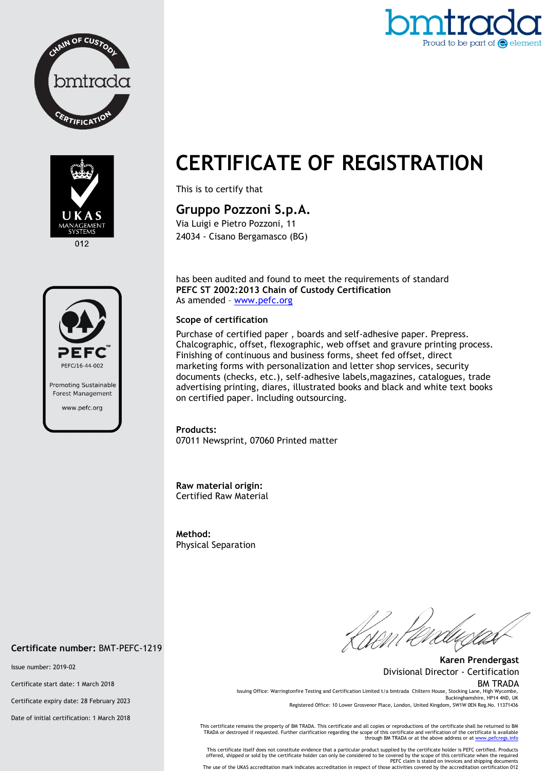



012



# **CERTIFICATE OF REGISTRATION**

This is to certify that

## **Gruppo Pozzoni S.p.A.**

Via Luigi e Pietro Pozzoni, 11 24034 - Cisano Bergamasco (BG)

has been audited and found to meet the requirements of standard **PEFC ST 2002:2013 Chain of Custody Certification**  As amended – www.pefc.org

#### **Scope of certification**

Purchase of certified paper , boards and self-adhesive paper. Prepress. Chalcographic, offset, flexographic, web offset and gravure printing process. Finishing of continuous and business forms, sheet fed offset, direct marketing forms with personalization and letter shop services, security documents (checks, etc.), self-adhesive labels,magazines, catalogues, trade advertising printing, diares, illustrated books and black and white text books on certified paper. Including outsourcing.

**Products:**  07011 Newsprint, 07060 Printed matter

**Raw material origin:** Certified Raw Material

**Method:**  Physical Separation

**Karen Prendergast** Divisional Director - Certification BM TRADA Issuing Office: Warringtonfire Testing and Certification Limited t/a bmtrada Chiltern House, Stocking Lane, High Wyco

Buckinghamshire, HP14 4ND, UK Registered Office: 10 Lower Grosvenor Place, London, United Kingdom, SW1W 0EN Reg.No. 11371436

This certificate remains the property of BM TRADA. This certificate and all copies or reproductions of the certificate shall be returned to BM<br>TRADA or destroyed if requested. Further clarification regarding the scope of t

This certificate itself does not constitute evidence that a particular product supplied by the certificate holder is PEFC certified. Products<br>offered, shipped or sold by the certificate holder can only be considered to be

The use of the UKAS accreditation mark indicates accreditation in respect of those activities covered by the accreditation certification 012

#### **Certificate number:** BMT-PEFC-1219

Issue number: 2019-02

Certificate start date: 1 March 2018

Certificate expiry date: 28 February 2023

Date of initial certification: 1 March 2018